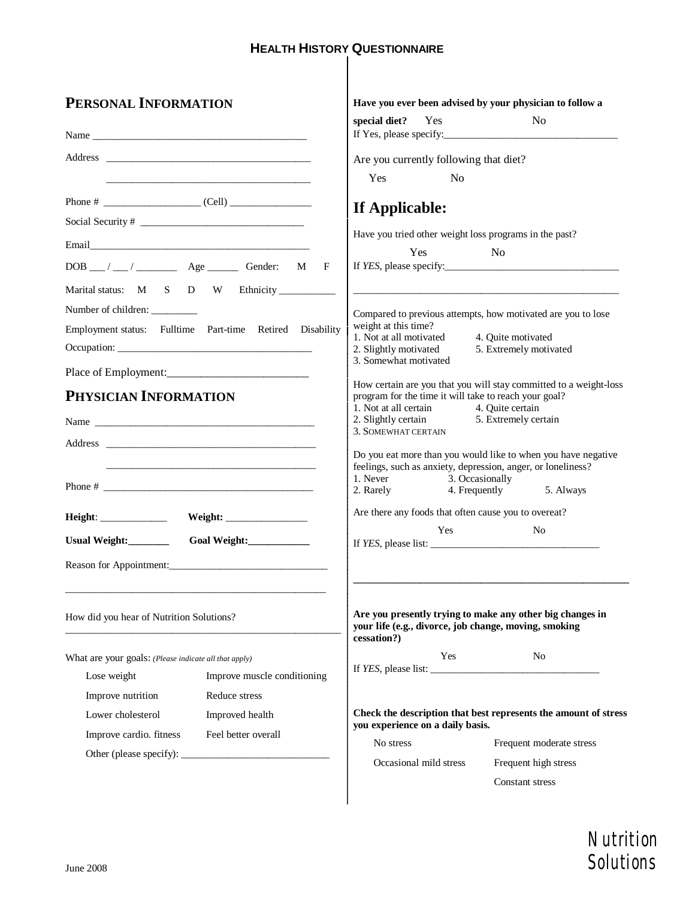## **HEALTH HISTORY QUESTIONNAIRE**

Ť

| PERSONAL INFORMATION                                                                                                                                                                                                          | Have you ever been advised by your physician to follow a                                                                          |  |  |
|-------------------------------------------------------------------------------------------------------------------------------------------------------------------------------------------------------------------------------|-----------------------------------------------------------------------------------------------------------------------------------|--|--|
|                                                                                                                                                                                                                               | special diet?<br>Yes<br>N <sub>o</sub><br>If Yes, please specify:                                                                 |  |  |
|                                                                                                                                                                                                                               | Are you currently following that diet?                                                                                            |  |  |
|                                                                                                                                                                                                                               | Yes<br>N <sub>0</sub>                                                                                                             |  |  |
|                                                                                                                                                                                                                               | If Applicable:                                                                                                                    |  |  |
|                                                                                                                                                                                                                               | Have you tried other weight loss programs in the past?                                                                            |  |  |
|                                                                                                                                                                                                                               | Yes<br>N <sub>0</sub>                                                                                                             |  |  |
| $DOB$ __/ __/ ___________ Age ________ Gender: M<br>$_{\rm F}$<br>Marital status: M S D W Ethnicity _________                                                                                                                 |                                                                                                                                   |  |  |
|                                                                                                                                                                                                                               |                                                                                                                                   |  |  |
| Number of children: ____________<br>Employment status: Fulltime Part-time Retired Disability                                                                                                                                  | Compared to previous attempts, how motivated are you to lose<br>weight at this time?                                              |  |  |
|                                                                                                                                                                                                                               | 1. Not at all motivated<br>4. Quite motivated<br>2. Slightly motivated<br>5. Extremely motivated<br>3. Somewhat motivated         |  |  |
| Place of Employment:                                                                                                                                                                                                          |                                                                                                                                   |  |  |
| PHYSICIAN INFORMATION                                                                                                                                                                                                         | How certain are you that you will stay committed to a weight-loss<br>program for the time it will take to reach your goal?        |  |  |
| Name and the same state of the same state of the same state of the same state of the same state of the same state of the same state of the same state of the same state of the same state of the same state of the same state | 1. Not at all certain<br>4. Quite certain<br>2. Slightly certain<br>5. Extremely certain                                          |  |  |
|                                                                                                                                                                                                                               | 3. SOMEWHAT CERTAIN                                                                                                               |  |  |
|                                                                                                                                                                                                                               | Do you eat more than you would like to when you have negative                                                                     |  |  |
|                                                                                                                                                                                                                               | feelings, such as anxiety, depression, anger, or loneliness?<br>3. Occasionally<br>1. Never                                       |  |  |
|                                                                                                                                                                                                                               | 4. Frequently<br>5. Always<br>2. Rarely                                                                                           |  |  |
| Height: Weight: Weight:                                                                                                                                                                                                       | Are there any foods that often cause you to overeat?                                                                              |  |  |
| Usual Weight: Goal Weight: Goal Weight:                                                                                                                                                                                       | Yes<br>N <sub>0</sub>                                                                                                             |  |  |
|                                                                                                                                                                                                                               |                                                                                                                                   |  |  |
| How did you hear of Nutrition Solutions?                                                                                                                                                                                      | Are you presently trying to make any other big changes in<br>your life (e.g., divorce, job change, moving, smoking<br>cessation?) |  |  |
| What are your goals: (Please indicate all that apply)                                                                                                                                                                         | Yes<br>No.                                                                                                                        |  |  |
| Improve muscle conditioning<br>Lose weight                                                                                                                                                                                    |                                                                                                                                   |  |  |
| Improve nutrition<br>Reduce stress                                                                                                                                                                                            |                                                                                                                                   |  |  |
| Lower cholesterol<br>Improved health                                                                                                                                                                                          | Check the description that best represents the amount of stress<br>you experience on a daily basis.                               |  |  |
| Feel better overall<br>Improve cardio. fitness                                                                                                                                                                                | No stress<br>Frequent moderate stress                                                                                             |  |  |
|                                                                                                                                                                                                                               | Occasional mild stress<br>Frequent high stress                                                                                    |  |  |
|                                                                                                                                                                                                                               | Constant stress                                                                                                                   |  |  |
|                                                                                                                                                                                                                               |                                                                                                                                   |  |  |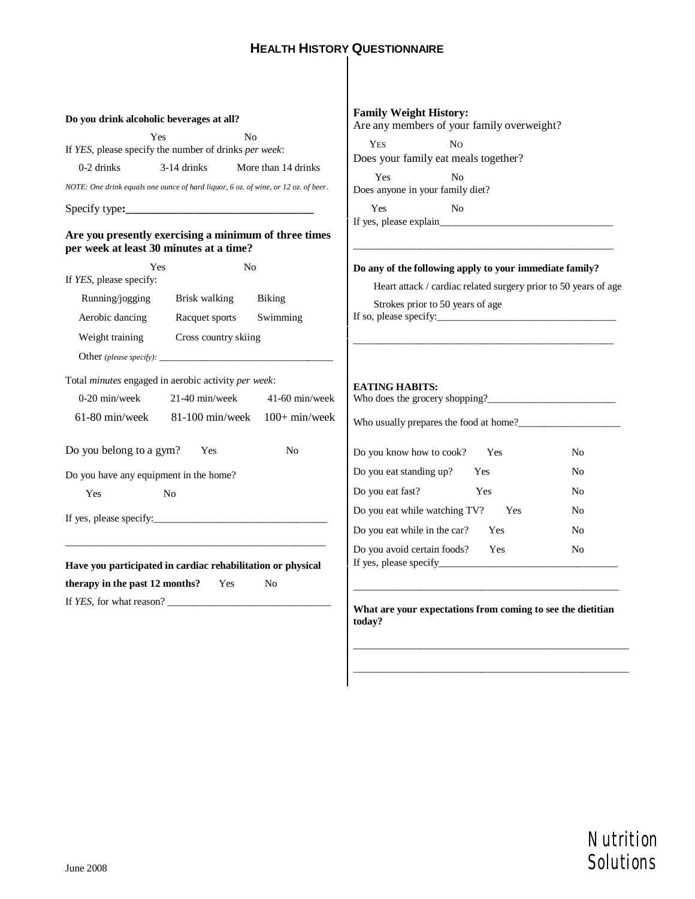## **HEALTH HISTORY QUESTIONNAIRE**

I

| Do you drink alcoholic beverages at all?<br>Yes<br>N <sub>0</sub><br>If YES, please specify the number of drinks per week:<br>$0-2$ drinks<br>$3-14$ drinks<br>More than 14 drinks<br>NOTE: One drink equals one ounce of hard liquor, 6 oz. of wine, or 12 oz. of beer.<br>Are you presently exercising a minimum of three times<br>per week at least 30 minutes at a time?                                                                                                                                                                                                                                                                | <b>Family Weight History:</b><br>Are any members of your family overweight?<br>N <sub>O</sub><br><b>YES</b><br>Does your family eat meals together?<br>No<br>Yes<br>Does anyone in your family diet?<br>Yes<br>N <sub>0</sub>                                                                                                                                                                                                                                                                                            |
|---------------------------------------------------------------------------------------------------------------------------------------------------------------------------------------------------------------------------------------------------------------------------------------------------------------------------------------------------------------------------------------------------------------------------------------------------------------------------------------------------------------------------------------------------------------------------------------------------------------------------------------------|--------------------------------------------------------------------------------------------------------------------------------------------------------------------------------------------------------------------------------------------------------------------------------------------------------------------------------------------------------------------------------------------------------------------------------------------------------------------------------------------------------------------------|
| <b>Yes</b><br>N <sub>0</sub><br>If YES, please specify:<br>Running/jogging<br>Brisk walking<br>Biking<br>Aerobic dancing<br>Racquet sports<br>Swimming<br>Weight training<br>Cross country skiing<br>Total minutes engaged in aerobic activity per week:<br>$0-20$ min/week<br>$21-40$ min/week<br>$41-60$ min/week<br>61-80 min/week<br>81-100 min/week<br>$100+ min/week$<br>Do you belong to a gym?<br>N <sub>o</sub><br>Yes<br>Do you have any equipment in the home?<br>Yes<br>No<br>If yes, please specify:<br>Have you participated in cardiac rehabilitation or physical<br>therapy in the past 12 months?<br>Yes<br>N <sub>0</sub> | Do any of the following apply to your immediate family?<br>Heart attack / cardiac related surgery prior to 50 years of age<br>Strokes prior to 50 years of age<br><b>EATING HABITS:</b><br>Do you know how to cook?<br>Yes<br>N <sub>0</sub><br>Do you eat standing up?<br>Yes<br>N <sub>0</sub><br>Do you eat fast?<br>Yes<br>N <sub>0</sub><br>Do you eat while watching TV?<br>Yes<br>N <sub>0</sub><br>Do you eat while in the car?<br>Yes<br>N <sub>0</sub><br>Do you avoid certain foods?<br>Yes<br>N <sub>o</sub> |
| If YES, for what reason?                                                                                                                                                                                                                                                                                                                                                                                                                                                                                                                                                                                                                    | What are your expectations from coming to see the dietitian<br>today?                                                                                                                                                                                                                                                                                                                                                                                                                                                    |



\_\_\_\_\_\_\_\_\_\_\_\_\_\_\_\_\_\_\_\_\_\_\_\_\_\_\_\_\_\_\_\_\_\_\_\_\_\_\_\_\_\_\_\_\_\_\_\_\_\_\_\_\_\_